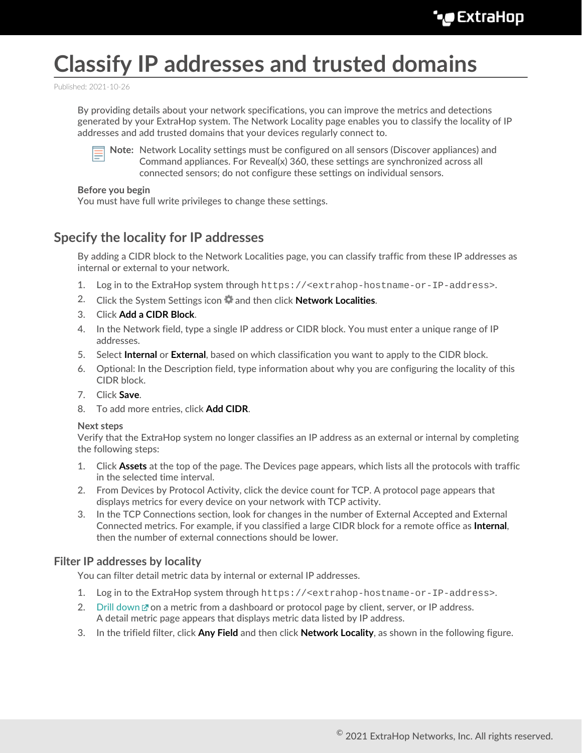# **Classify IP addresses and trusted domains**

Published: 2021-10-26

By providing details about your network specifications, you can improve the metrics and detections generated by your ExtraHop system. The Network Locality page enables you to classify the locality of IP addresses and add trusted domains that your devices regularly connect to.



**Note:** Network Locality settings must be configured on all sensors (Discover appliances) and Command appliances. For Reveal(x) 360, these settings are synchronized across all connected sensors; do not configure these settings on individual sensors.

#### **Before you begin**

You must have full write privileges to change these settings.

## **Specify the locality for IP addresses**

By adding a CIDR block to the Network Localities page, you can classify traffic from these IP addresses as internal or external to your network.

- 1. Log in to the ExtraHop system through https://<extrahop-hostname-or-IP-address>.
- 2. Click the System Settings icon and then click **Network Localities**.
- 3. Click **Add a CIDR Block**.
- 4. In the Network field, type a single IP address or CIDR block. You must enter a unique range of IP addresses.
- 5. Select **Internal** or **External**, based on which classification you want to apply to the CIDR block.
- 6. Optional: In the Description field, type information about why you are configuring the locality of this CIDR block.
- 7. Click **Save**.
- 8. To add more entries, click **Add CIDR**.

#### **Next steps**

Verify that the ExtraHop system no longer classifies an IP address as an external or internal by completing the following steps:

- 1. Click **Assets** at the top of the page. The Devices page appears, which lists all the protocols with traffic in the selected time interval.
- 2. From Devices by Protocol Activity, click the device count for TCP. A protocol page appears that displays metrics for every device on your network with TCP activity.
- 3. In the TCP Connections section, look for changes in the number of External Accepted and External Connected metrics. For example, if you classified a large CIDR block for a remote office as **Internal**, then the number of external connections should be lower.

#### **Filter IP addresses by locality**

You can filter detail metric data by internal or external IP addresses.

- 1. Log in to the ExtraHop system through https://<extrahop-hostname-or-IP-address>.
- 2. [Drill down](https://docs.extrahop.com/8.7/drill-down)  $\mathbb Z$  on a metric from a dashboard or protocol page by client, server, or IP address. A detail metric page appears that displays metric data listed by IP address.
- 3. In the trifield filter, click **Any Field** and then click **Network Locality**, as shown in the following figure.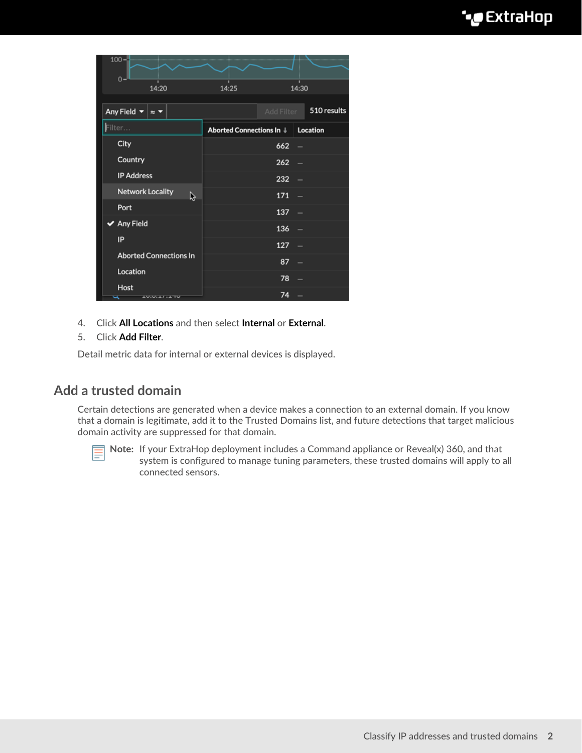| $100 -$<br>$0 -$                                                 |                                   |            |                          |
|------------------------------------------------------------------|-----------------------------------|------------|--------------------------|
| 14:20                                                            | 14:25                             |            | 14:30                    |
| Any Field $\blacktriangledown$<br>$\approx$ $\blacktriangledown$ |                                   | Add Filter | 510 results              |
| Filter                                                           | Aborted Connections In   Location |            |                          |
| City                                                             |                                   | 662        | $\overline{\phantom{0}}$ |
| Country                                                          |                                   | 262        | $\overline{\phantom{0}}$ |
| <b>IP Address</b>                                                |                                   | 232        | -                        |
| <b>Network Locality</b><br>ß                                     |                                   | 171        | -                        |
| Port                                                             |                                   | 137        | -                        |
| $\blacktriangleright$ Any Field                                  |                                   | 136        | -                        |
| IP                                                               |                                   | 127        | $\overline{\phantom{0}}$ |
| <b>Aborted Connections In</b>                                    |                                   | 87         | -                        |
| Location                                                         |                                   | 78         |                          |
| Host<br><b>AUGULA / LATU</b><br>∽                                |                                   | 74         |                          |

4. Click **All Locations** and then select **Internal** or **External**.

#### 5. Click **Add Filter**.

Detail metric data for internal or external devices is displayed.

### **Add a trusted domain**

Certain detections are generated when a device makes a connection to an external domain. If you know that a domain is legitimate, add it to the Trusted Domains list, and future detections that target malicious domain activity are suppressed for that domain.



**Note:** If your ExtraHop deployment includes a Command appliance or Reveal(x) 360, and that system is configured to manage tuning parameters, these trusted domains will apply to all connected sensors.